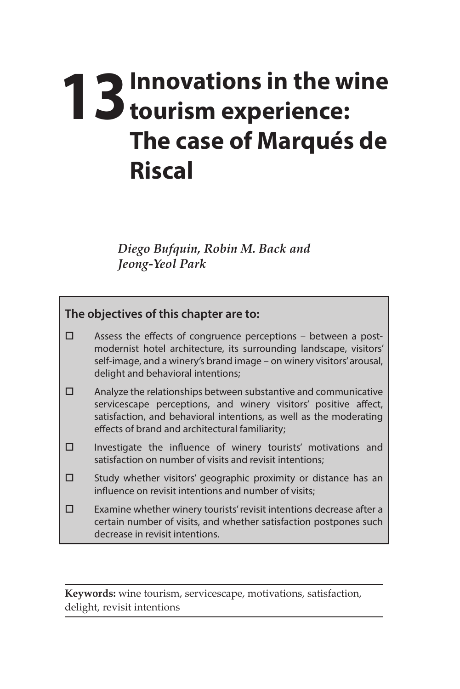## **13** Innovations in the wine **13** tourism experience: **The case of Marqués de Riscal**

*Diego Bufquin, Robin M. Back and Jeong-Yeol Park* 

## **The objectives of this chapter are to:**

- $\square$  Assess the effects of congruence perceptions between a postmodernist hotel architecture, its surrounding landscape, visitors' self-image, and a winery's brand image – on winery visitors' arousal, delight and behavioral intentions;
- $\square$  Analyze the relationships between substantive and communicative servicescape perceptions, and winery visitors' positive affect, satisfaction, and behavioral intentions, as well as the moderating effects of brand and architectural familiarity;
- $\square$  Investigate the influence of winery tourists' motivations and satisfaction on number of visits and revisit intentions;
- $\square$  Study whether visitors' geographic proximity or distance has an influence on revisit intentions and number of visits;
- $\square$  Examine whether winery tourists' revisit intentions decrease after a certain number of visits, and whether satisfaction postpones such decrease in revisit intentions.

**Keywords:** wine tourism, servicescape, motivations, satisfaction, delight, revisit intentions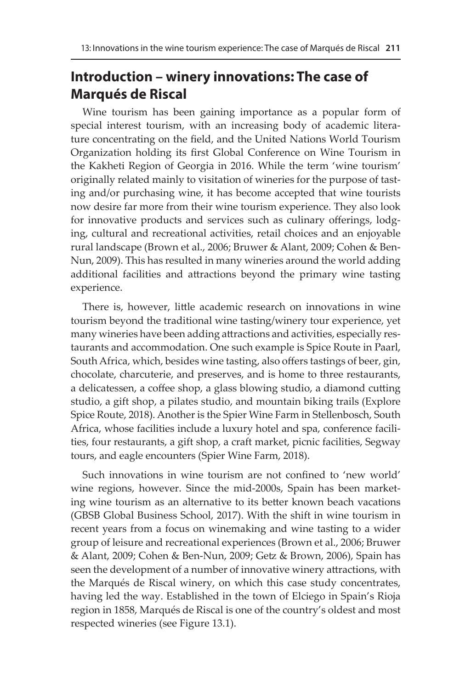## **Introduction – winery innovations: The case of Marqués de Riscal**

Wine tourism has been gaining importance as a popular form of special interest tourism, with an increasing body of academic literature concentrating on the field, and the United Nations World Tourism Organization holding its first Global Conference on Wine Tourism in the Kakheti Region of Georgia in 2016. While the term 'wine tourism' originally related mainly to visitation of wineries for the purpose of tasting and/or purchasing wine, it has become accepted that wine tourists now desire far more from their wine tourism experience. They also look for innovative products and services such as culinary offerings, lodging, cultural and recreational activities, retail choices and an enjoyable rural landscape (Brown et al., 2006; Bruwer & Alant, 2009; Cohen & Ben-Nun, 2009). This has resulted in many wineries around the world adding additional facilities and attractions beyond the primary wine tasting experience.

There is, however, little academic research on innovations in wine tourism beyond the traditional wine tasting/winery tour experience, yet many wineries have been adding attractions and activities, especially restaurants and accommodation. One such example is Spice Route in Paarl, South Africa, which, besides wine tasting, also offers tastings of beer, gin, chocolate, charcuterie, and preserves, and is home to three restaurants, a delicatessen, a coffee shop, a glass blowing studio, a diamond cutting studio, a gift shop, a pilates studio, and mountain biking trails (Explore Spice Route, 2018). Another is the Spier Wine Farm in Stellenbosch, South Africa, whose facilities include a luxury hotel and spa, conference facilities, four restaurants, a gift shop, a craft market, picnic facilities, Segway tours, and eagle encounters (Spier Wine Farm, 2018).

Such innovations in wine tourism are not confined to 'new world' wine regions, however. Since the mid-2000s, Spain has been marketing wine tourism as an alternative to its better known beach vacations (GBSB Global Business School, 2017). With the shift in wine tourism in recent years from a focus on winemaking and wine tasting to a wider group of leisure and recreational experiences (Brown et al., 2006; Bruwer & Alant, 2009; Cohen & Ben-Nun, 2009; Getz & Brown, 2006), Spain has seen the development of a number of innovative winery attractions, with the Marqués de Riscal winery, on which this case study concentrates, having led the way. Established in the town of Elciego in Spain's Rioja region in 1858, Marqués de Riscal is one of the country's oldest and most respected wineries (see Figure 13.1).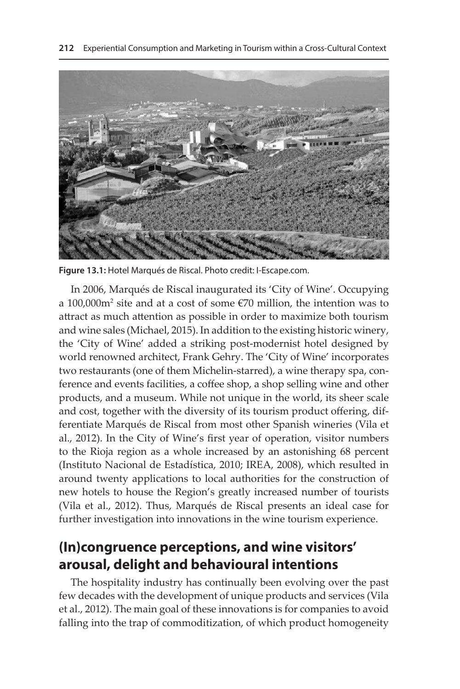

**Figure 13.1:** Hotel Marqués de Riscal. Photo credit: I-Escape.com.

In 2006, Marqués de Riscal inaugurated its 'City of Wine'. Occupying a 100,000 $m^2$  site and at a cost of some  $\epsilon$ 70 million, the intention was to attract as much attention as possible in order to maximize both tourism and wine sales (Michael, 2015). In addition to the existing historic winery, the 'City of Wine' added a striking post-modernist hotel designed by world renowned architect, Frank Gehry. The 'City of Wine' incorporates two restaurants (one of them Michelin-starred), a wine therapy spa, conference and events facilities, a coffee shop, a shop selling wine and other products, and a museum. While not unique in the world, its sheer scale and cost, together with the diversity of its tourism product offering, differentiate Marqués de Riscal from most other Spanish wineries (Vila et al., 2012). In the City of Wine's first year of operation, visitor numbers to the Rioja region as a whole increased by an astonishing 68 percent (Instituto Nacional de Estadística, 2010; IREA, 2008), which resulted in around twenty applications to local authorities for the construction of new hotels to house the Region's greatly increased number of tourists (Vila et al., 2012). Thus, Marqués de Riscal presents an ideal case for further investigation into innovations in the wine tourism experience.

## **(In)congruence perceptions, and wine visitors' arousal, delight and behavioural intentions**

The hospitality industry has continually been evolving over the past few decades with the development of unique products and services (Vila et al., 2012). The main goal of these innovations is for companies to avoid falling into the trap of commoditization, of which product homogeneity